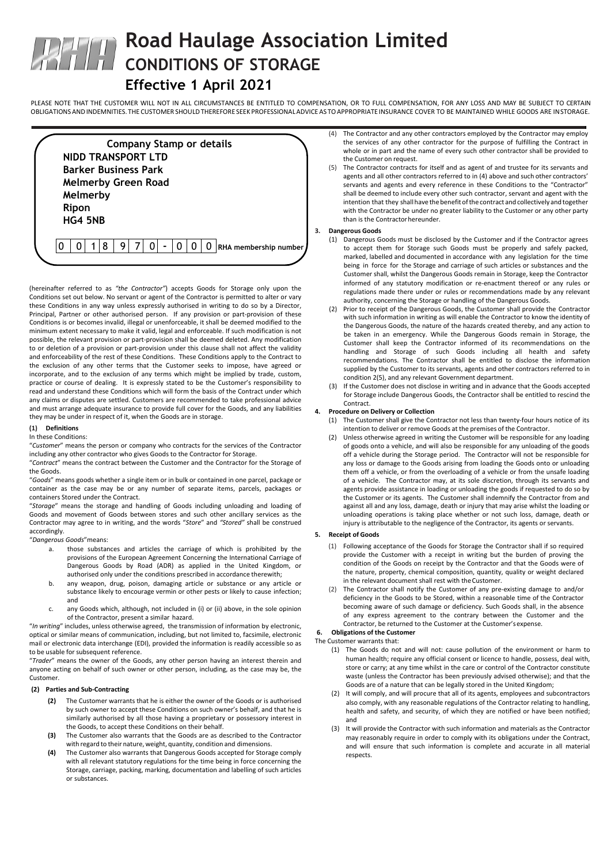# **Road Haulage Association Limited CONDITIONS OF STORAGE Effective 1 April 2021**

PLEASE NOTE THAT THE CUSTOMER WILL NOT IN ALL CIRCUMSTANCES BE ENTITLED TO COMPENSATION, OR TO FULL COMPENSATION, FOR ANY LOSS AND MAY BE SUBJECT TO CERTAIN OBLIGATIONSANDINDEMNITIES. THE CUSTOMER SHOULDTHEREFORE SEEK PROFESSIONALADVICE AS TOAPPROPRIATE INSURANCE COVER TO BE MAINTAINED WHILE GOODS ARE INSTORAGE.

**RHA membership number ‐ Company Stamp or details NIDD TRANSPORT LTD Barker Business Park Melmerby Green Road Melmerby Ripon HG4 5NB**  $|0|0|1|8|9|7|0|$  -  $|0|0$ 

(hereinafter referred to as *"the Contractor"*) accepts Goods for Storage only upon the Conditions set out below. No servant or agent of the Contractor is permitted to alter or vary these Conditions in any way unless expressly authorised in writing to do so by a Director, Principal, Partner or other authorised person. If any provision or part-provision of these Conditions is or becomes invalid, illegal or unenforceable, it shall be deemed modified to the minimum extent necessary to make it valid, legal and enforceable. If such modification is not possible, the relevant provision or part‐provision shall be deemed deleted. Any modification to or deletion of a provision or part‐provision under this clause shall not affect the validity and enforceability of the rest of these Conditions. These Conditions apply to the Contract to the exclusion of any other terms that the Customer seeks to impose, have agreed or incorporate, and to the exclusion of any terms which might be implied by trade, custom, practice or course of dealing. It is expressly stated to be the Customer's responsibility to read and understand these Conditions which will form the basis of the Contract under which any claims or disputes are settled. Customers are recommended to take professional advice and must arrange adequate insurance to provide full cover for the Goods, and any liabilities they may be under in respect of it, when the Goods are in storage.

# **(1) Definitions**

In these Conditions:

"*Customer*" means the person or company who contracts for the services of the Contractor including any other contractor who gives Goods to the Contractor for Storage.

"*Contract*" means the contract between the Customer and the Contractor for the Storage of the Goods.

"*Goods*" means goods whether a single item or in bulk or contained in one parcel, package or container as the case may be or any number of separate items, parcels, packages or containers Stored under the Contract.

"*Storage*" means the storage and handling of Goods including unloading and loading of Goods and movement of Goods between stores and such other ancillary services as the Contractor may agree to in writing, and the words "*Store*" and *"Stored"* shall be construed accordingly.

"*Dangerous Goods*"means:

- a. those substances and articles the carriage of which is prohibited by the provisions of the European Agreement Concerning the International Carriage of Dangerous Goods by Road (ADR) as applied in the United Kingdom, or authorised only under the conditions prescribed in accordance therewith;
- b. any weapon, drug, poison, damaging article or substance or any article or substance likely to encourage vermin or other pests or likely to cause infection; and
- c. any Goods which, although, not included in (i) or (ii) above, in the sole opinion of the Contractor, present a similar hazard.

"*In writing*" includes, unless otherwise agreed, the transmission of information by electronic, optical or similar means of communication, including, but not limited to, facsimile, electronic mail or electronic data interchange (EDI), provided the information is readily accessible so as to be usable for subsequent reference.

"*Trader*" means the owner of the Goods, any other person having an interest therein and anyone acting on behalf of such owner or other person, including, as the case may be, the Customer.

## **(2) Parties and Sub‐Contracting**

- **(2)** The Customer warrants that he is either the owner of the Goods or is authorised by such owner to accept these Conditions on such owner's behalf, and that he is similarly authorised by all those having a proprietary or possessory interest in the Goods, to accept these Conditions on their behalf.
- **(3)** The Customer also warrants that the Goods are as described to the Contractor with regard to their nature, weight, quantity, condition and dimensions.
- **(4)** The Customer also warrants that Dangerous Goods accepted for Storage comply with all relevant statutory regulations for the time being in force concerning the Storage, carriage, packing, marking, documentation and labelling of such articles or substances.
- (4) The Contractor and any other contractors employed by the Contractor may employ the services of any other contractor for the purpose of fulfilling the Contract in whole or in part and the name of every such other contractor shall be provided to the Customer on request.
- (5) The Contractor contracts for itself and as agent of and trustee for its servants and agents and all other contractors referred to in (4) above and such other contractors' servants and agents and every reference in these Conditions to the "Contractor" shall be deemed to include every other such contractor, servant and agent with the intention that they shall have the benefit of the contract and collectively and together with the Contractor be under no greater liability to the Customer or any other party than is the Contractor hereunder.

#### **3. Dangerous Goods**

- (1) Dangerous Goods must be disclosed by the Customer and if the Contractor agrees to accept them for Storage such Goods must be properly and safely packed, marked, labelled and documented in accordance with any legislation for the time being in force for the Storage and carriage of such articles or substances and the Customer shall, whilst the Dangerous Goods remain in Storage, keep the Contractor informed of any statutory modification or re‐enactment thereof or any rules or regulations made there under or rules or recommendations made by any relevant authority, concerning the Storage or handling of the Dangerous Goods.
- (2) Prior to receipt of the Dangerous Goods, the Customer shall provide the Contractor with such information in writing as will enable the Contractor to know the identity of the Dangerous Goods, the nature of the hazards created thereby, and any action to be taken in an emergency. While the Dangerous Goods remain in Storage, the Customer shall keep the Contractor informed of its recommendations on the handling and Storage of such Goods including all health and safety recommendations. The Contractor shall be entitled to disclose the information supplied by the Customer to its servants, agents and other contractors referred to in condition 2(5), and any relevant Government department.
- (3) If the Customer does not disclose in writing and in advance that the Goods accepted for Storage include Dangerous Goods, the Contractor shall be entitled to rescind the Contract.

# **4. Procedure on Delivery or Collection**

- (1) The Customer shall give the Contractor not less than twenty‐four hours notice of its intention to deliver or remove Goods at the premises of the Contractor.
- (2) Unless otherwise agreed in writing the Customer will be responsible for any loading of goods onto a vehicle, and will also be responsible for any unloading of the goods off a vehicle during the Storage period. The Contractor will not be responsible for any loss or damage to the Goods arising from loading the Goods onto or unloading them off a vehicle, or from the overloading of a vehicle or from the unsafe loading of a vehicle. The Contractor may, at its sole discretion, through its servants and agents provide assistance in loading or unloading the goods if requested to do so by the Customer or its agents. The Customer shall indemnify the Contractor from and against all and any loss, damage, death or injury that may arise whilst the loading or unloading operations is taking place whether or not such loss, damage, death or injury is attributable to the negligence of the Contractor, its agents or servants.

#### **5. Receipt of Goods**

- (1) Following acceptance of the Goods for Storage the Contractor shall if so required provide the Customer with a receipt in writing but the burden of proving the condition of the Goods on receipt by the Contractor and that the Goods were of the nature, property, chemical composition, quantity, quality or weight declared in the relevant document shall rest with theCustomer.
- (2) The Contractor shall notify the Customer of any pre‐existing damage to and/or deficiency in the Goods to be Stored, within a reasonable time of the Contractor becoming aware of such damage or deficiency. Such Goods shall, in the absence of any express agreement to the contrary between the Customer and the Contractor, be returned to the Customer at the Customer'sexpense.

#### **6. Obligations of the Customer** The Customer warrants that:

- (1) The Goods do not and will not: cause pollution of the environment or harm to human health; require any official consent or licence to handle, possess, deal with, store or carry; at any time whilst in the care or control of the Contractor constitute waste (unless the Contractor has been previously advised otherwise); and that the Goods are of a nature that can be legally stored in the United Kingdom;
- (2) It will comply, and will procure that all of its agents, employees and subcontractors also comply, with any reasonable regulations of the Contractor relating to handling, health and safety, and security, of which they are notified or have been notified; and
- (3) It will provide the Contractor with such information and materials as the Contractor may reasonably require in order to comply with its obligations under the Contract, and will ensure that such information is complete and accurate in all material respects.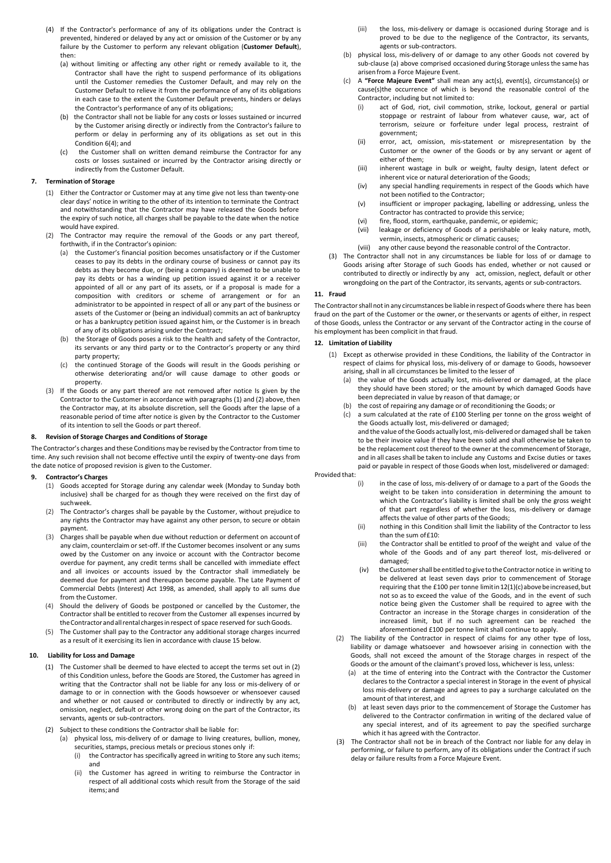- (4) If the Contractor's performance of any of its obligations under the Contract is prevented, hindered or delayed by any act or omission of the Customer or by any failure by the Customer to perform any relevant obligation (**Customer Default**), then:
	- (a) without limiting or affecting any other right or remedy available to it, the Contractor shall have the right to suspend performance of its obligations until the Customer remedies the Customer Default, and may rely on the Customer Default to relieve it from the performance of any of its obligations in each case to the extent the Customer Default prevents, hinders or delays the Contractor's performance of any of its obligations;
	- (b) the Contractor shall not be liable for any costs or losses sustained or incurred by the Customer arising directly or indirectly from the Contractor's failure to perform or delay in performing any of its obligations as set out in this Condition 6(4); and
	- the Customer shall on written demand reimburse the Contractor for any costs or losses sustained or incurred by the Contractor arising directly or indirectly from the Customer Default.

#### **7. Termination of Storage**

- (1) Either the Contractor or Customer may at any time give not less than twenty‐one clear days' notice in writing to the other of its intention to terminate the Contract and notwithstanding that the Contractor may have released the Goods before the expiry of such notice, all charges shall be payable to the date when the notice would have expired.
- (2) The Contractor may require the removal of the Goods or any part thereof, forthwith, if in the Contractor's opinion:
	- (a) the Customer's financial position becomes unsatisfactory or if the Customer ceases to pay its debts in the ordinary course of business or cannot pay its debts as they become due, or (being a company) is deemed to be unable to pay its debts or has a winding up petition issued against it or a receiver appointed of all or any part of its assets, or if a proposal is made for a composition with creditors or scheme of arrangement or for an administrator to be appointed in respect of all or any part of the business or assets of the Customer or (being an individual) commits an act of bankruptcy or has a bankruptcy petition issued against him, or the Customer is in breach of any of its obligations arising under the Contract;
	- (b) the Storage of Goods poses a risk to the health and safety of the Contractor, its servants or any third party or to the Contractor's property or any third party property;
	- (c) the continued Storage of the Goods will result in the Goods perishing or otherwise deteriorating and/or will cause damage to other goods or property.
- (3) If the Goods or any part thereof are not removed after notice Is given by the Contractor to the Customer in accordance with paragraphs (1) and (2) above, then the Contractor may, at its absolute discretion, sell the Goods after the lapse of a reasonable period of time after notice is given by the Contractor to the Customer of its intention to sell the Goods or part thereof.

#### **8. Revision of Storage Charges and Conditions of Storage**

The Contractor's charges and these Conditions may be revised by the Contractor from time to time. Any such revision shall not become effective until the expiry of twenty-one days from the date notice of proposed revision is given to the Customer.

#### **9. Contractor's Charges**

- (1) Goods accepted for Storage during any calendar week (Monday to Sunday both inclusive) shall be charged for as though they were received on the first day of suchweek.
- (2) The Contractor's charges shall be payable by the Customer, without prejudice to any rights the Contractor may have against any other person, to secure or obtain payment.
- (3) Charges shall be payable when due without reduction or deferment on account of any claim, counterclaim or set-off. If the Customer becomes insolvent or any sums owed by the Customer on any invoice or account with the Contractor become overdue for payment, any credit terms shall be cancelled with immediate effect and all invoices or accounts issued by the Contractor shall immediately be deemed due for payment and thereupon become payable. The Late Payment of Commercial Debts (Interest) Act 1998, as amended, shall apply to all sums due from the Customer.
- (4) Should the delivery of Goods be postponed or cancelled by the Customer, the Contractor shall be entitled to recover from the Customer all expenses incurred by the Contractor and all rental charges in respect of space reserved for such Goods.
- (5) The Customer shall pay to the Contractor any additional storage charges incurred as a result of it exercising its lien in accordance with clause 15 below.

## **10. Liability for Loss and Damage**

- (1) The Customer shall be deemed to have elected to accept the terms set out in (2) of this Condition unless, before the Goods are Stored, the Customer has agreed in writing that the Contractor shall not be liable for any loss or mis-delivery of or damage to or in connection with the Goods howsoever or whensoever caused and whether or not caused or contributed to directly or indirectly by any act, omission, neglect, default or other wrong doing on the part of the Contractor, its servants, agents or sub-contractors.
- (2) Subject to these conditions the Contractor shall be liable for:
	- (a) physical loss, mis‐delivery of or damage to living creatures, bullion, money, securities, stamps, precious metals or precious stones only if:
		- (i) the Contractor has specifically agreed in writing to Store any such items; and
		- (ii) the Customer has agreed in writing to reimburse the Contractor in respect of all additional costs which result from the Storage of the said items;and
- (iii) the loss, mis‐delivery or damage is occasioned during Storage and is proved to be due to the negligence of the Contractor, its servants, .<br>agents or sub-contractors.
- (b) physical loss, mis‐delivery of or damage to any other Goods not covered by sub‐clause (a) above comprised occasioned during Storage unlessthe same has arisen from a Force Majeure Event.
- (c) A **"Force Majeure Event"** shall mean any act(s), event(s), circumstance(s) or cause(s)the occurrence of which is beyond the reasonable control of the Contractor, including but not limited to:
	- (i) act of God, riot, civil commotion, strike, lockout, general or partial stoppage or restraint of labour from whatever cause, war, act of terrorism, seizure or forfeiture under legal process, restraint of government;
	- (ii) error, act, omission, mis‐statement or misrepresentation by the Customer or the owner of the Goods or by any servant or agent of either of them;
	- (iii) inherent wastage in bulk or weight, faulty design, latent defect or inherent vice or natural deterioration of the Goods;
	- (iv) any special handling requirements in respect of the Goods which have not been notified to the Contractor;
	- (v) insufficient or improper packaging, labelling or addressing, unless the Contractor has contracted to provide this service;
	-
	- (vi) fire, flood, storm, earthquake, pandemic, or epidemic;<br>(vii) leakage or deficiency of Goods of a perishable or lea leakage or deficiency of Goods of a perishable or leaky nature, moth, vermin, insects, atmospheric or climatic causes;
	- (viii) any other cause beyond the reasonable control of the Contractor.
- (3) The Contractor shall not in any circumstances be liable for loss of or damage to Goods arising after Storage of such Goods has ended, whether or not caused or contributed to directly or indirectly by any act, omission, neglect, default or other wrongdoing on the part of the Contractor, its servants, agents or sub‐contractors.

#### **11. Fraud**

The Contractorshall notin any circumstances be liable in respect ofGoods where there has been fraud on the part of the Customer or the owner, or theservants or agents of either, in respect of those Goods, unless the Contractor or any servant of the Contractor acting in the course of his employment has been complicit in that fraud.

#### **12. Limitation of Liability**

- (1) Except as otherwise provided in these Conditions, the liability of the Contractor in respect of claims for physical loss, mis‐delivery of or damage to Goods, howsoever arising, shall in all circumstances be limited to the lesser of
	- (a) the value of the Goods actually lost, mis‐delivered or damaged, at the place they should have been stored; or the amount by which damaged Goods have been depreciated in value by reason of that damage; or
	- (b) the cost of repairing any damage or of reconditioning the Goods; or
	- (c) a sum calculated at the rate of £100 Sterling per tonne on the gross weight of the Goods actually lost, mis‐delivered or damaged;
		- and the value of the Goods actually lost, mis-delivered or damaged shall be taken to be their invoice value if they have been sold and shall otherwise be taken to be the replacement cost thereof to the owner at the commencement of Storage, and in all cases shall be taken to include any Customs and Excise duties or taxes paid or payable in respect of those Goods when lost, misdelivered or damaged:

Provided that:

- (i) in the case of loss, mis‐delivery of or damage to a part of the Goods the weight to be taken into consideration in determining the amount to which the Contractor's liability is limited shall be only the gross weight of that part regardless of whether the loss, mis‐delivery or damage affects the value of other parts of the Goods;
- (ii) nothing in this Condition shall limit the liability of the Contractor to less than the sum of£10:
- (iii) the Contractor shall be entitled to proof of the weight and value of the whole of the Goods and of any part thereof lost, mis-delivered or damaged;
- (iv) theCustomershall be entitled togive totheContractornotice in writing to be delivered at least seven days prior to commencement of Storage requiring that the £100 per tonne limit in 12(1)(c) above be increased, but not so as to exceed the value of the Goods, and in the event of such notice being given the Customer shall be required to agree with the Contractor an increase in the Storage charges in consideration of the increased limit, but if no such agreement can be reached the aforementioned £100 per tonne limit shall continue to apply.
- (2) The liability of the Contractor in respect of claims for any other type of loss, liability or damage whatsoever and howsoever arising in connection with the Goods, shall not exceed the amount of the Storage charges in respect of the Goods or the amount of the claimant's proved loss, whichever is less, unless:
	- (a) at the time of entering into the Contract with the Contractor the Customer declares to the Contractor a special interest in Storage in the event of physical loss mis‐delivery or damage and agrees to pay a surcharge calculated on the amount of that interest, and
	- at least seven days prior to the commencement of Storage the Customer has delivered to the Contractor confirmation in writing of the declared value of any special interest, and of its agreement to pay the specified surcharge which it has agreed with the Contractor.
- (3) The Contractor shall not be in breach of the Contract nor liable for any delay in performing, or failure to perform, any of its obligations under the Contract if such delay or failure results from a Force Majeure Event.